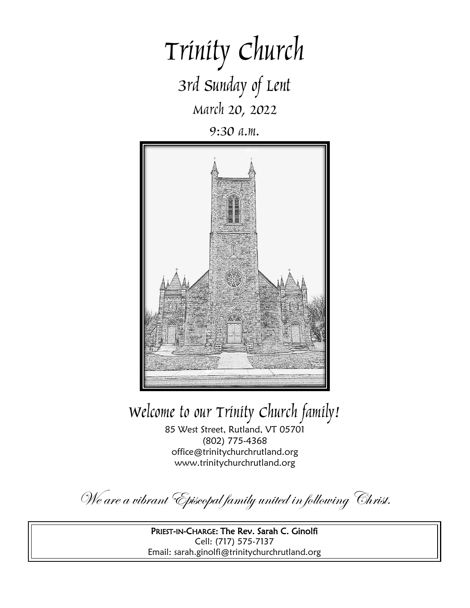# Trinity Church 3rd Sunday of Lent March 20, 2022

9:30 a.m.



Welcome to our Trinity Church family!

85 West Street, Rutland, VT 05701 (802) 775-4368 office@trinitychurchrutland.org www.trinitychurchrutland.org

We are a vibrant Episcopal family united in following Christ.

PRIEST-IN-CHARGE: The Rev. Sarah C. Ginolfi Cell: (717) 575-7137 Email: sarah.ginolfi@trinitychurchrutland.org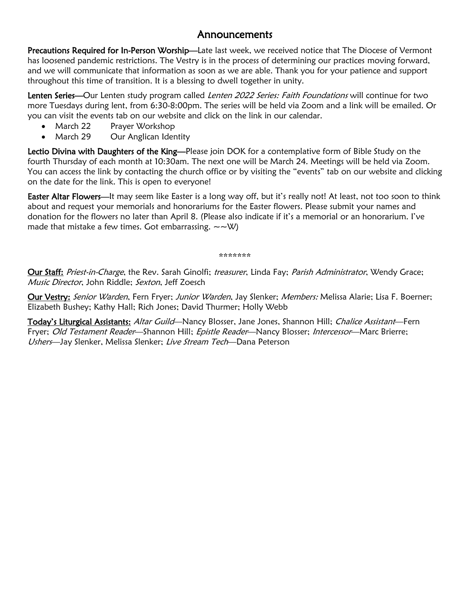### Announcements

Precautions Required for In-Person Worship—Late last week, we received notice that The Diocese of Vermont has loosened pandemic restrictions. The Vestry is in the process of determining our practices moving forward, and we will communicate that information as soon as we are able. Thank you for your patience and support throughout this time of transition. It is a blessing to dwell together in unity.

Lenten Series—Our Lenten study program called Lenten 2022 Series: Faith Foundations will continue for two more Tuesdays during lent, from 6:30-8:00pm. The series will be held via Zoom and a link will be emailed. Or you can visit the events tab on our website and click on the link in our calendar.

- March 22 Prayer Workshop
- March 29 Our Anglican Identity

Lectio Divina with Daughters of the King—Please join DOK for a contemplative form of Bible Study on the fourth Thursday of each month at 10:30am. The next one will be March 24. Meetings will be held via Zoom. You can access the link by contacting the church office or by visiting the "events" tab on our website and clicking on the date for the link. This is open to everyone!

Easter Altar Flowers—It may seem like Easter is a long way off, but it's really not! At least, not too soon to think about and request your memorials and honorariums for the Easter flowers. Please submit your names and donation for the flowers no later than April 8. (Please also indicate if it's a memorial or an honorarium. I've made that mistake a few times. Got embarrassing.  $\sim \sim \mathcal{W}$ )

\*\*\*\*\*\*\*

Our Staff: Priest-in-Charge, the Rev. Sarah Ginolfi; treasurer, Linda Fay; Parish Administrator, Wendy Grace; Music Director, John Riddle; Sexton, Jeff Zoesch

Our Vestry: Senior Warden, Fern Fryer; Junior Warden, Jay Slenker; Members: Melissa Alarie; Lisa F. Boerner; Elizabeth Bushey; Kathy Hall; Rich Jones; David Thurmer; Holly Webb

Today's Liturgical Assistants: Altar Guild-Nancy Blosser, Jane Jones, Shannon Hill; Chalice Assistant-Fern Fryer; Old Testament Reader—Shannon Hill; Epistle Reader—Nancy Blosser; Intercessor—Marc Brierre; Ushers—Jay Slenker, Melissa Slenker; Live Stream Tech—Dana Peterson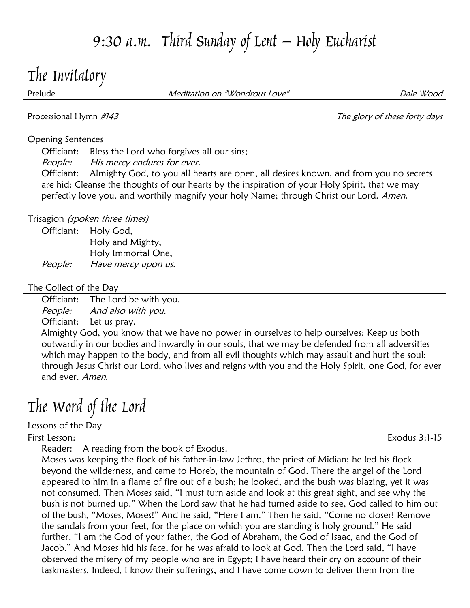## 9:30 a.m. Third Sunday of Lent – Holy Eucharist

### The Invitatory

Prelude **Meditation on "Wondrous Love"** And Dale Wood

Processional Hymn #143 Processional Hymn #143

### Opening Sentences

Officiant: Bless the Lord who forgives all our sins;

People: His mercy endures for ever.

Officiant: Almighty God, to you all hearts are open, all desires known, and from you no secrets are hid: Cleanse the thoughts of our hearts by the inspiration of your Holy Spirit, that we may perfectly love you, and worthily magnify your holy Name; through Christ our Lord. Amen.

Trisagion *(spoken three times)* 

Officiant: Holy God, Holy and Mighty, Holy Immortal One, People: Have mercy upon us.

#### The Collect of the Day

Officiant: The Lord be with you. People: And also with you.

Officiant: Let us pray.

Almighty God, you know that we have no power in ourselves to help ourselves: Keep us both outwardly in our bodies and inwardly in our souls, that we may be defended from all adversities which may happen to the body, and from all evil thoughts which may assault and hurt the soul; through Jesus Christ our Lord, who lives and reigns with you and the Holy Spirit, one God, for ever and ever. Amen.

The Word of the Lord

Lessons of the Day

Reader: A reading from the book of Exodus.

Moses was keeping the flock of his father-in-law Jethro, the priest of Midian; he led his flock beyond the wilderness, and came to Horeb, the mountain of God. There the angel of the Lord appeared to him in a flame of fire out of a bush; he looked, and the bush was blazing, yet it was not consumed. Then Moses said, "I must turn aside and look at this great sight, and see why the bush is not burned up." When the Lord saw that he had turned aside to see, God called to him out of the bush, "Moses, Moses!" And he said, "Here I am." Then he said, "Come no closer! Remove the sandals from your feet, for the place on which you are standing is holy ground." He said further, "I am the God of your father, the God of Abraham, the God of Isaac, and the God of Jacob." And Moses hid his face, for he was afraid to look at God. Then the Lord said, "I have observed the misery of my people who are in Egypt; I have heard their cry on account of their taskmasters. Indeed, I know their sufferings, and I have come down to deliver them from the

First Lesson: Exodus 3:1-15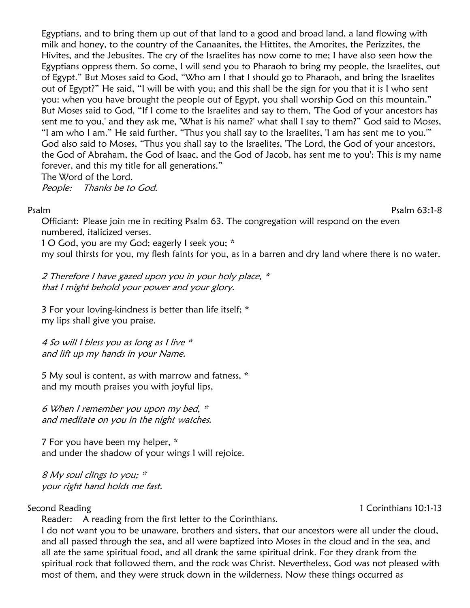Egyptians, and to bring them up out of that land to a good and broad land, a land flowing with milk and honey, to the country of the Canaanites, the Hittites, the Amorites, the Perizzites, the Hivites, and the Jebusites. The cry of the Israelites has now come to me; I have also seen how the Egyptians oppress them. So come, I will send you to Pharaoh to bring my people, the Israelites, out of Egypt." But Moses said to God, "Who am I that I should go to Pharaoh, and bring the Israelites out of Egypt?" He said, "I will be with you; and this shall be the sign for you that it is I who sent you: when you have brought the people out of Egypt, you shall worship God on this mountain." But Moses said to God, "If I come to the Israelites and say to them, 'The God of your ancestors has sent me to you,' and they ask me, 'What is his name?' what shall I say to them?" God said to Moses, "I am who I am." He said further, "Thus you shall say to the Israelites, 'I am has sent me to you.'" God also said to Moses, "Thus you shall say to the Israelites, 'The Lord, the God of your ancestors, the God of Abraham, the God of Isaac, and the God of Jacob, has sent me to you': This is my name forever, and this my title for all generations."

The Word of the Lord.

People: Thanks be to God.

Psalm Psalm 63:1-8

Officiant: Please join me in reciting Psalm 63. The congregation will respond on the even numbered, italicized verses.

1 O God, you are my God; eagerly I seek you; \*

my soul thirsts for you, my flesh faints for you, as in a barren and dry land where there is no water.

2 Therefore I have gazed upon you in your holy place,  $*$ that I might behold your power and your glory.

3 For your loving-kindness is better than life itself; \* my lips shall give you praise.

4 So will I bless you as long as I live  $*$ and lift up my hands in your Name.

5 My soul is content, as with marrow and fatness, \* and my mouth praises you with joyful lips,

6 When I remember you upon my bed, \* and meditate on you in the night watches.

7 For you have been my helper, \* and under the shadow of your wings I will rejoice.

8 My soul clings to you; \* your right hand holds me fast.

Reader: A reading from the first letter to the Corinthians.

I do not want you to be unaware, brothers and sisters, that our ancestors were all under the cloud, and all passed through the sea, and all were baptized into Moses in the cloud and in the sea, and all ate the same spiritual food, and all drank the same spiritual drink. For they drank from the spiritual rock that followed them, and the rock was Christ. Nevertheless, God was not pleased with most of them, and they were struck down in the wilderness. Now these things occurred as

Second Reading 10:1-13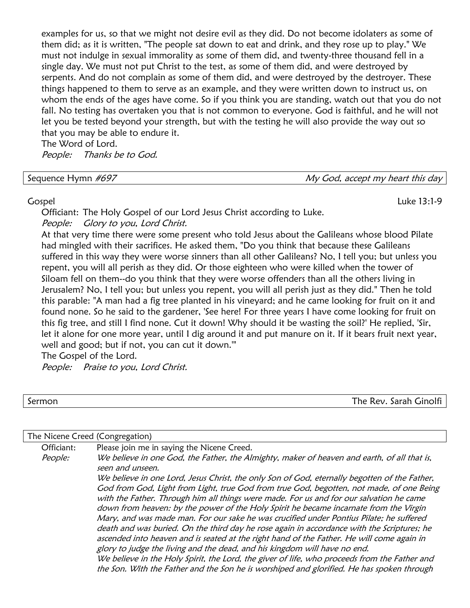examples for us, so that we might not desire evil as they did. Do not become idolaters as some of them did; as it is written, "The people sat down to eat and drink, and they rose up to play." We must not indulge in sexual immorality as some of them did, and twenty-three thousand fell in a single day. We must not put Christ to the test, as some of them did, and were destroyed by serpents. And do not complain as some of them did, and were destroyed by the destroyer. These things happened to them to serve as an example, and they were written down to instruct us, on whom the ends of the ages have come. So if you think you are standing, watch out that you do not fall. No testing has overtaken you that is not common to everyone. God is faithful, and he will not let you be tested beyond your strength, but with the testing he will also provide the way out so that you may be able to endure it.

The Word of Lord. People: Thanks be to God.

 $My$  God, accept my heart this day

Gospel Luke 13:1-9

Officiant: The Holy Gospel of our Lord Jesus Christ according to Luke. People: Glory to you, Lord Christ.

At that very time there were some present who told Jesus about the Galileans whose blood Pilate had mingled with their sacrifices. He asked them, "Do you think that because these Galileans suffered in this way they were worse sinners than all other Galileans? No, I tell you; but unless you repent, you will all perish as they did. Or those eighteen who were killed when the tower of Siloam fell on them--do you think that they were worse offenders than all the others living in Jerusalem? No, I tell you; but unless you repent, you will all perish just as they did." Then he told this parable: "A man had a fig tree planted in his vineyard; and he came looking for fruit on it and found none. So he said to the gardener, 'See here! For three years I have come looking for fruit on this fig tree, and still I find none. Cut it down! Why should it be wasting the soil?' He replied, 'Sir, let it alone for one more year, until I dig around it and put manure on it. If it bears fruit next year, well and good; but if not, you can cut it down.'"

The Gospel of the Lord.

People: Praise to you, Lord Christ.

Sermon The Rev. Sarah Ginolfi

| The Nicene Creed (Congregation) |                                                                                                                                                                                                                                                                                                                                                                                                                                                                       |
|---------------------------------|-----------------------------------------------------------------------------------------------------------------------------------------------------------------------------------------------------------------------------------------------------------------------------------------------------------------------------------------------------------------------------------------------------------------------------------------------------------------------|
| Officiant:                      | Please join me in saying the Nicene Creed.                                                                                                                                                                                                                                                                                                                                                                                                                            |
| People:                         | We believe in one God, the Father, the Almighty, maker of heaven and earth, of all that is,<br>seen and unseen.                                                                                                                                                                                                                                                                                                                                                       |
|                                 | We believe in one Lord, Jesus Christ, the only Son of God, eternally begotten of the Father,                                                                                                                                                                                                                                                                                                                                                                          |
|                                 | God from God, Light from Light, true God from true God, begotten, not made, of one Being<br>with the Father. Through him all things were made. For us and for our salvation he came<br>down from heaven: by the power of the Holy Spirit he became incarnate from the Virgin<br>Mary, and was made man. For our sake he was crucified under Pontius Pilate; he suffered<br>death and was buried. On the third day he rose again in accordance with the Scriptures; he |
|                                 | ascended into heaven and is seated at the right hand of the Father. He will come again in<br>glory to judge the living and the dead, and his kingdom will have no end.                                                                                                                                                                                                                                                                                                |
|                                 | We believe in the Holy Spirit, the Lord, the giver of life, who proceeds from the Father and<br>the Son. With the Father and the Son he is worshiped and glorified. He has spoken through                                                                                                                                                                                                                                                                             |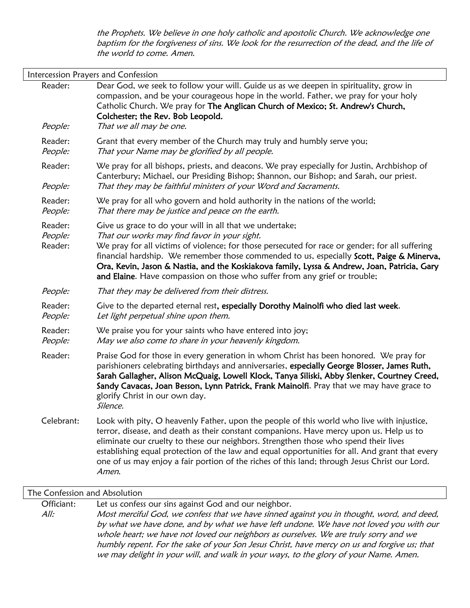the Prophets. We believe in one holy catholic and apostolic Church. We acknowledge one baptism for the forgiveness of sins. We look for the resurrection of the dead, and the life of the world to come. Amen.

| Intercession Prayers and Confession |                                                                                                                                                                                                                                                                                                                                                                                                                                                                                          |
|-------------------------------------|------------------------------------------------------------------------------------------------------------------------------------------------------------------------------------------------------------------------------------------------------------------------------------------------------------------------------------------------------------------------------------------------------------------------------------------------------------------------------------------|
| Reader:                             | Dear God, we seek to follow your will. Guide us as we deepen in spirituality, grow in<br>compassion, and be your courageous hope in the world. Father, we pray for your holy<br>Catholic Church. We pray for The Anglican Church of Mexico; St. Andrew's Church,<br>Colchester; the Rev. Bob Leopold.                                                                                                                                                                                    |
| People:                             | That we all may be one.                                                                                                                                                                                                                                                                                                                                                                                                                                                                  |
| Reader:<br>People:                  | Grant that every member of the Church may truly and humbly serve you;<br>That your Name may be glorified by all people.                                                                                                                                                                                                                                                                                                                                                                  |
| Reader:                             | We pray for all bishops, priests, and deacons. We pray especially for Justin, Archbishop of<br>Canterbury; Michael, our Presiding Bishop; Shannon, our Bishop; and Sarah, our priest.                                                                                                                                                                                                                                                                                                    |
| People:                             | That they may be faithful ministers of your Word and Sacraments.                                                                                                                                                                                                                                                                                                                                                                                                                         |
| Reader:<br>People:                  | We pray for all who govern and hold authority in the nations of the world;<br>That there may be justice and peace on the earth.                                                                                                                                                                                                                                                                                                                                                          |
| Reader:<br>People:<br>Reader:       | Give us grace to do your will in all that we undertake;<br>That our works may find favor in your sight.<br>We pray for all victims of violence; for those persecuted for race or gender; for all suffering<br>financial hardship. We remember those commended to us, especially Scott, Paige & Minerva,<br>Ora, Kevin, Jason & Nastia, and the Koskiakova family, Lyssa & Andrew, Joan, Patricia, Gary<br>and Elaine. Have compassion on those who suffer from any grief or trouble;     |
| People:                             | That they may be delivered from their distress.                                                                                                                                                                                                                                                                                                                                                                                                                                          |
| Reader:<br>People:                  | Give to the departed eternal rest, especially Dorothy Mainolfi who died last week.<br>Let light perpetual shine upon them.                                                                                                                                                                                                                                                                                                                                                               |
| Reader:<br>People:                  | We praise you for your saints who have entered into joy;<br>May we also come to share in your heavenly kingdom.                                                                                                                                                                                                                                                                                                                                                                          |
| Reader:                             | Praise God for those in every generation in whom Christ has been honored. We pray for<br>parishioners celebrating birthdays and anniversaries, especially George Blosser, James Ruth,<br>Sarah Gallagher, Alison McQuaig, Lowell Klock, Tanya Siliski, Abby Slenker, Courtney Creed,<br>Sandy Cavacas, Joan Besson, Lynn Patrick, Frank Mainolfi. Pray that we may have grace to<br>glorify Christ in our own day.<br>Silence.                                                           |
| Celebrant:                          | Look with pity, O heavenly Father, upon the people of this world who live with injustice,<br>terror, disease, and death as their constant companions. Have mercy upon us. Help us to<br>eliminate our cruelty to these our neighbors. Strengthen those who spend their lives<br>establishing equal protection of the law and equal opportunities for all. And grant that every<br>one of us may enjoy a fair portion of the riches of this land; through Jesus Christ our Lord.<br>Amen. |

#### The Confession and Absolution

Officiant: Let us confess our sins against God and our neighbor.

All: Most merciful God, we confess that we have sinned against you in thought, word, and deed, by what we have done, and by what we have left undone. We have not loved you with our whole heart; we have not loved our neighbors as ourselves. We are truly sorry and we humbly repent. For the sake of your Son Jesus Christ, have mercy on us and forgive us; that we may delight in your will, and walk in your ways, to the glory of your Name. Amen.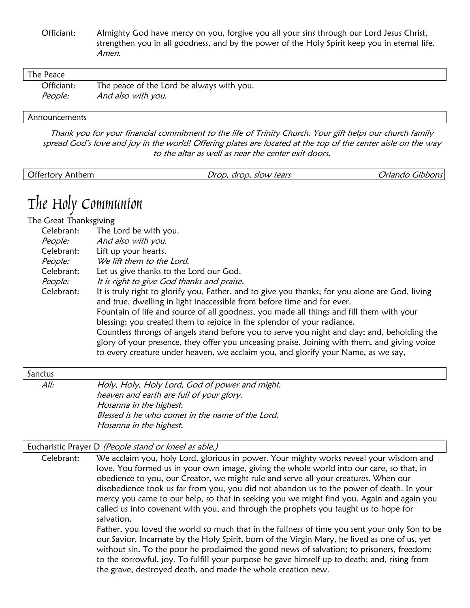Officiant: Almighty God have mercy on you, forgive you all your sins through our Lord Jesus Christ, strengthen you in all goodness, and by the power of the Holy Spirit keep you in eternal life. Amen.

| The Peace  |                                           |
|------------|-------------------------------------------|
| Officiant: | The peace of the Lord be always with you. |
| People:    | And also with you.                        |

#### **Announcements**

Thank you for your financial commitment to the life of Trinity Church. Your gift helps our church family spread God's love and joy in the world! Offering plates are located at the top of the center aisle on the way to the altar as well as near the center exit doors.

| Offertory<br>Anthem | slow tears<br>drop.<br>Jrop. | $\sim$<br>וטשטובC<br>Jrlando |
|---------------------|------------------------------|------------------------------|
|                     |                              |                              |

## The Holy Communion

The Great Thanksgiving

| Celebrant: | The Lord be with you.                                                                                                                                                                                                                                                                                                                                                                                                                                                                                                                                                                                                                 |
|------------|---------------------------------------------------------------------------------------------------------------------------------------------------------------------------------------------------------------------------------------------------------------------------------------------------------------------------------------------------------------------------------------------------------------------------------------------------------------------------------------------------------------------------------------------------------------------------------------------------------------------------------------|
| People:    | And also with you.                                                                                                                                                                                                                                                                                                                                                                                                                                                                                                                                                                                                                    |
| Celebrant: | Lift up your hearts.                                                                                                                                                                                                                                                                                                                                                                                                                                                                                                                                                                                                                  |
| People:    | We lift them to the Lord.                                                                                                                                                                                                                                                                                                                                                                                                                                                                                                                                                                                                             |
| Celebrant: | Let us give thanks to the Lord our God.                                                                                                                                                                                                                                                                                                                                                                                                                                                                                                                                                                                               |
| People:    | It is right to give God thanks and praise.                                                                                                                                                                                                                                                                                                                                                                                                                                                                                                                                                                                            |
| Celebrant: | It is truly right to glorify you, Father, and to give you thanks; for you alone are God, living<br>and true, dwelling in light inaccessible from before time and for ever.<br>Fountain of life and source of all goodness, you made all things and fill them with your<br>blessing; you created them to rejoice in the splendor of your radiance.<br>Countless throngs of angels stand before you to serve you night and day; and, beholding the<br>glory of your presence, they offer you unceasing praise. Joining with them, and giving voice<br>to every creature under heaven, we acclaim you, and glorify your Name, as we say, |

#### Sanctus

All: Holy, Holy, Holy Lord, God of power and might, heaven and earth are full of your glory. Hosanna in the highest. Blessed is he who comes in the name of the Lord. Hosanna in the highest.

#### Eucharistic Prayer D (People stand or kneel as able.)

Celebrant: We acclaim you, holy Lord, glorious in power. Your mighty works reveal your wisdom and love. You formed us in your own image, giving the whole world into our care, so that, in obedience to you, our Creator, we might rule and serve all your creatures. When our disobedience took us far from you, you did not abandon us to the power of death. In your mercy you came to our help, so that in seeking you we might find you. Again and again you called us into covenant with you, and through the prophets you taught us to hope for salvation.

> Father, you loved the world so much that in the fullness of time you sent your only Son to be our Savior. Incarnate by the Holy Spirit, born of the Virgin Mary, he lived as one of us, yet without sin. To the poor he proclaimed the good news of salvation; to prisoners, freedom; to the sorrowful, joy. To fulfill your purpose he gave himself up to death; and, rising from the grave, destroyed death, and made the whole creation new.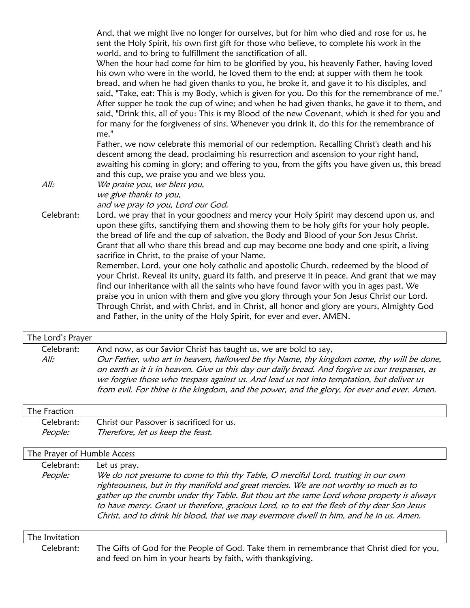And, that we might live no longer for ourselves, but for him who died and rose for us, he sent the Holy Spirit, his own first gift for those who believe, to complete his work in the world, and to bring to fulfillment the sanctification of all.

When the hour had come for him to be glorified by you, his heavenly Father, having loved his own who were in the world, he loved them to the end; at supper with them he took bread, and when he had given thanks to you, he broke it, and gave it to his disciples, and said, "Take, eat: This is my Body, which is given for you. Do this for the remembrance of me." After supper he took the cup of wine; and when he had given thanks, he gave it to them, and said, "Drink this, all of you: This is my Blood of the new Covenant, which is shed for you and for many for the forgiveness of sins. Whenever you drink it, do this for the remembrance of me."

Father, we now celebrate this memorial of our redemption. Recalling Christ's death and his descent among the dead, proclaiming his resurrection and ascension to your right hand, awaiting his coming in glory; and offering to you, from the gifts you have given us, this bread and this cup, we praise you and we bless you.

All: We praise you, we bless you, we give thanks to you, and we pray to you, Lord our God.

Celebrant: Lord, we pray that in your goodness and mercy your Holy Spirit may descend upon us, and upon these gifts, sanctifying them and showing them to be holy gifts for your holy people, the bread of life and the cup of salvation, the Body and Blood of your Son Jesus Christ. Grant that all who share this bread and cup may become one body and one spirit, a living sacrifice in Christ, to the praise of your Name.

> Remember, Lord, your one holy catholic and apostolic Church, redeemed by the blood of your Christ. Reveal its unity, guard its faith, and preserve it in peace. And grant that we may find our inheritance with all the saints who have found favor with you in ages past. We praise you in union with them and give you glory through your Son Jesus Christ our Lord. Through Christ, and with Christ, and in Christ, all honor and glory are yours, Almighty God and Father, in the unity of the Holy Spirit, for ever and ever. AMEN.

### The Lord's Prayer Celebrant: And now, as our Savior Christ has taught us, we are bold to say, All: Our Father, who art in heaven, hallowed be thy Name, thy kingdom come, thy will be done, on earth as it is in heaven. Give us this day our daily bread. And forgive us our trespasses, as we forgive those who trespass against us. And lead us not into temptation, but deliver us from evil. For thine is the kingdom, and the power, and the glory, for ever and ever. Amen.

#### The Fraction

|         | Celebrant: Christ our Passover is sacrificed for us. |
|---------|------------------------------------------------------|
| People: | Therefore, let us keep the feast.                    |

#### The Prayer of Humble Access

| Celebrant: | Let us pray.                                                                                |
|------------|---------------------------------------------------------------------------------------------|
| People:    | We do not presume to come to this thy Table, O merciful Lord, trusting in our own           |
|            | righteousness, but in thy manifold and great mercies. We are not worthy so much as to       |
|            | gather up the crumbs under thy Table. But thou art the same Lord whose property is always   |
|            | to have mercy. Grant us therefore, gracious Lord, so to eat the flesh of thy dear Son Jesus |
|            | Christ, and to drink his blood, that we may evermore dwell in him, and he in us. Amen.      |

#### The Invitation

Celebrant: The Gifts of God for the People of God. Take them in remembrance that Christ died for you, and feed on him in your hearts by faith, with thanksgiving.